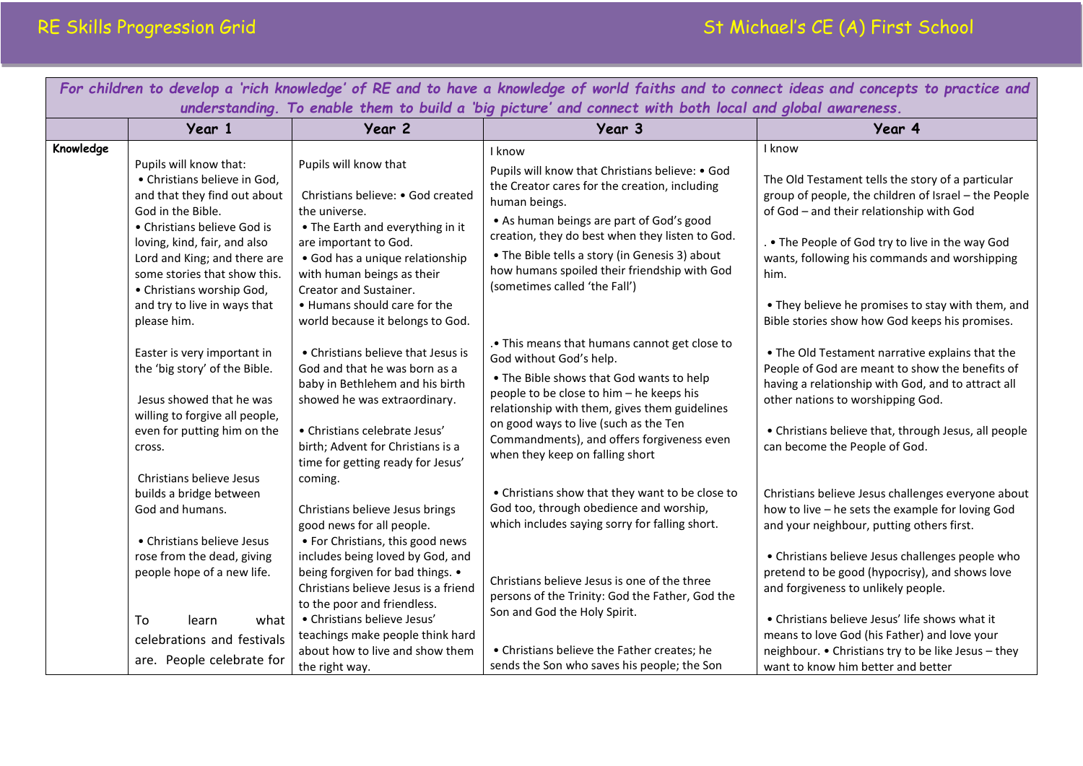| For children to develop a 'rich knowledge' of RE and to have a knowledge of world faiths and to connect ideas and concepts to practice and |                                                                                                                                                                                                                                                                                                                                                                                        |                                                                                                                                                                                                                                                                                                                                                                                                                   |                                                                                                                                                                                                                                                                                                                                                                                                                                                                                      |                                                                                                                                                                                                                                                                                                                                                                                                                                                                                                                                                 |  |  |  |
|--------------------------------------------------------------------------------------------------------------------------------------------|----------------------------------------------------------------------------------------------------------------------------------------------------------------------------------------------------------------------------------------------------------------------------------------------------------------------------------------------------------------------------------------|-------------------------------------------------------------------------------------------------------------------------------------------------------------------------------------------------------------------------------------------------------------------------------------------------------------------------------------------------------------------------------------------------------------------|--------------------------------------------------------------------------------------------------------------------------------------------------------------------------------------------------------------------------------------------------------------------------------------------------------------------------------------------------------------------------------------------------------------------------------------------------------------------------------------|-------------------------------------------------------------------------------------------------------------------------------------------------------------------------------------------------------------------------------------------------------------------------------------------------------------------------------------------------------------------------------------------------------------------------------------------------------------------------------------------------------------------------------------------------|--|--|--|
| understanding. To enable them to build a 'big picture' and connect with both local and global awareness.                                   |                                                                                                                                                                                                                                                                                                                                                                                        |                                                                                                                                                                                                                                                                                                                                                                                                                   |                                                                                                                                                                                                                                                                                                                                                                                                                                                                                      |                                                                                                                                                                                                                                                                                                                                                                                                                                                                                                                                                 |  |  |  |
|                                                                                                                                            | Year 1                                                                                                                                                                                                                                                                                                                                                                                 | Year 2                                                                                                                                                                                                                                                                                                                                                                                                            | Year 3                                                                                                                                                                                                                                                                                                                                                                                                                                                                               | Year 4                                                                                                                                                                                                                                                                                                                                                                                                                                                                                                                                          |  |  |  |
| Knowledge                                                                                                                                  | Pupils will know that:<br>• Christians believe in God,<br>and that they find out about<br>God in the Bible.<br>• Christians believe God is<br>loving, kind, fair, and also<br>Lord and King; and there are<br>some stories that show this.<br>• Christians worship God,<br>and try to live in ways that<br>please him.<br>Easter is very important in<br>the 'big story' of the Bible. | Pupils will know that<br>Christians believe: • God created<br>the universe.<br>• The Earth and everything in it<br>are important to God.<br>· God has a unique relationship<br>with human beings as their<br>Creator and Sustainer.<br>. Humans should care for the<br>world because it belongs to God.<br>• Christians believe that Jesus is<br>God and that he was born as a<br>baby in Bethlehem and his birth | I know<br>Pupils will know that Christians believe: • God<br>the Creator cares for the creation, including<br>human beings.<br>• As human beings are part of God's good<br>creation, they do best when they listen to God.<br>• The Bible tells a story (in Genesis 3) about<br>how humans spoiled their friendship with God<br>(sometimes called 'the Fall')<br>. This means that humans cannot get close to<br>God without God's help.<br>• The Bible shows that God wants to help | I know<br>The Old Testament tells the story of a particular<br>group of people, the children of Israel - the People<br>of God - and their relationship with God<br>. . The People of God try to live in the way God<br>wants, following his commands and worshipping<br>him.<br>• They believe he promises to stay with them, and<br>Bible stories show how God keeps his promises.<br>• The Old Testament narrative explains that the<br>People of God are meant to show the benefits of<br>having a relationship with God, and to attract all |  |  |  |
|                                                                                                                                            | Jesus showed that he was<br>willing to forgive all people,<br>even for putting him on the<br>cross.<br>Christians believe Jesus                                                                                                                                                                                                                                                        | showed he was extraordinary.<br>· Christians celebrate Jesus'<br>birth; Advent for Christians is a<br>time for getting ready for Jesus'<br>coming.                                                                                                                                                                                                                                                                | people to be close to him - he keeps his<br>relationship with them, gives them guidelines<br>on good ways to live (such as the Ten<br>Commandments), and offers forgiveness even<br>when they keep on falling short                                                                                                                                                                                                                                                                  | other nations to worshipping God.<br>• Christians believe that, through Jesus, all people<br>can become the People of God.                                                                                                                                                                                                                                                                                                                                                                                                                      |  |  |  |
|                                                                                                                                            | builds a bridge between<br>God and humans.                                                                                                                                                                                                                                                                                                                                             | Christians believe Jesus brings<br>good news for all people.                                                                                                                                                                                                                                                                                                                                                      | • Christians show that they want to be close to<br>God too, through obedience and worship,<br>which includes saying sorry for falling short.                                                                                                                                                                                                                                                                                                                                         | Christians believe Jesus challenges everyone about<br>how to live - he sets the example for loving God<br>and your neighbour, putting others first.                                                                                                                                                                                                                                                                                                                                                                                             |  |  |  |
|                                                                                                                                            | • Christians believe Jesus<br>rose from the dead, giving<br>people hope of a new life.<br>To<br>learn<br>what                                                                                                                                                                                                                                                                          | • For Christians, this good news<br>includes being loved by God, and<br>being forgiven for bad things. •<br>Christians believe Jesus is a friend<br>to the poor and friendless.<br>• Christians believe Jesus'                                                                                                                                                                                                    | Christians believe Jesus is one of the three<br>persons of the Trinity: God the Father, God the<br>Son and God the Holy Spirit.                                                                                                                                                                                                                                                                                                                                                      | • Christians believe Jesus challenges people who<br>pretend to be good (hypocrisy), and shows love<br>and forgiveness to unlikely people.<br>• Christians believe Jesus' life shows what it                                                                                                                                                                                                                                                                                                                                                     |  |  |  |
|                                                                                                                                            | celebrations and festivals<br>are. People celebrate for                                                                                                                                                                                                                                                                                                                                | teachings make people think hard<br>about how to live and show them<br>the right way.                                                                                                                                                                                                                                                                                                                             | • Christians believe the Father creates; he<br>sends the Son who saves his people; the Son                                                                                                                                                                                                                                                                                                                                                                                           | means to love God (his Father) and love your<br>neighbour. • Christians try to be like Jesus - they<br>want to know him better and better                                                                                                                                                                                                                                                                                                                                                                                                       |  |  |  |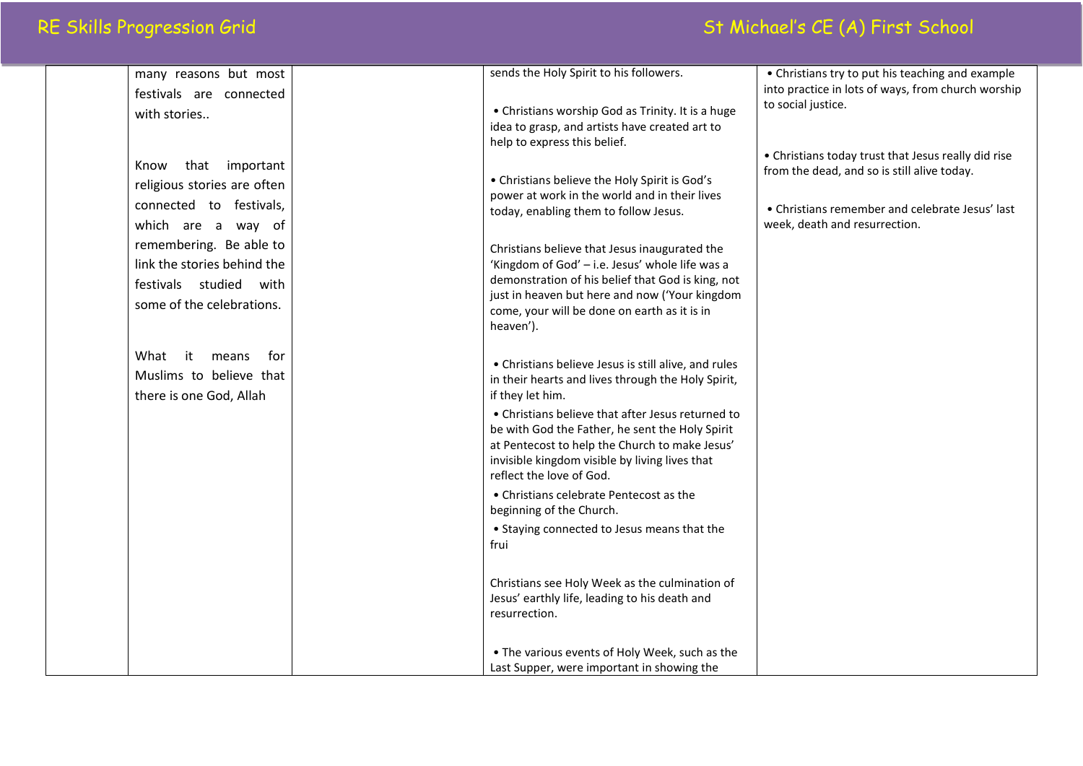## RE Skills Progression Grid St Michael's CE (A) First School

| many reasons but most                         | sends the Holy Spirit to his followers.                                                          | • Christians try to put his teaching and example                                 |
|-----------------------------------------------|--------------------------------------------------------------------------------------------------|----------------------------------------------------------------------------------|
| festivals are connected                       |                                                                                                  | into practice in lots of ways, from church worship                               |
| with stories                                  | • Christians worship God as Trinity. It is a huge                                                | to social justice.                                                               |
|                                               | idea to grasp, and artists have created art to                                                   |                                                                                  |
|                                               | help to express this belief.                                                                     | • Christians today trust that Jesus really did rise                              |
| that important<br>Know                        |                                                                                                  | from the dead, and so is still alive today.                                      |
| religious stories are often                   | • Christians believe the Holy Spirit is God's<br>power at work in the world and in their lives   |                                                                                  |
| connected to festivals,<br>which are a way of | today, enabling them to follow Jesus.                                                            | • Christians remember and celebrate Jesus' last<br>week, death and resurrection. |
| remembering. Be able to                       | Christians believe that Jesus inaugurated the                                                    |                                                                                  |
| link the stories behind the                   | 'Kingdom of God' - i.e. Jesus' whole life was a                                                  |                                                                                  |
| festivals studied with                        | demonstration of his belief that God is king, not                                                |                                                                                  |
| some of the celebrations.                     | just in heaven but here and now ('Your kingdom                                                   |                                                                                  |
|                                               | come, your will be done on earth as it is in<br>heaven').                                        |                                                                                  |
| What<br>it<br>means<br>for                    | • Christians believe Jesus is still alive, and rules                                             |                                                                                  |
| Muslims to believe that                       | in their hearts and lives through the Holy Spirit,                                               |                                                                                  |
| there is one God, Allah                       | if they let him.                                                                                 |                                                                                  |
|                                               | • Christians believe that after Jesus returned to                                                |                                                                                  |
|                                               | be with God the Father, he sent the Holy Spirit                                                  |                                                                                  |
|                                               | at Pentecost to help the Church to make Jesus'<br>invisible kingdom visible by living lives that |                                                                                  |
|                                               | reflect the love of God.                                                                         |                                                                                  |
|                                               | • Christians celebrate Pentecost as the                                                          |                                                                                  |
|                                               | beginning of the Church.                                                                         |                                                                                  |
|                                               | • Staying connected to Jesus means that the                                                      |                                                                                  |
|                                               | frui                                                                                             |                                                                                  |
|                                               | Christians see Holy Week as the culmination of                                                   |                                                                                  |
|                                               | Jesus' earthly life, leading to his death and                                                    |                                                                                  |
|                                               | resurrection.                                                                                    |                                                                                  |
|                                               | • The various events of Holy Week, such as the                                                   |                                                                                  |
|                                               | Last Supper, were important in showing the                                                       |                                                                                  |